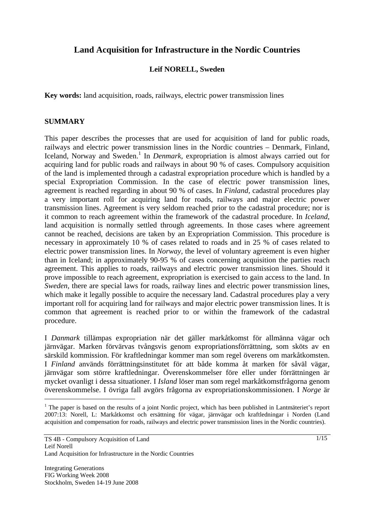# **Land Acquisition for Infrastructure in the Nordic Countries**

#### **Leif NORELL, Sweden**

**Key words:** land acquisition, roads, railways, electric power transmission lines

#### **SUMMARY**

This paper describes the processes that are used for acquisition of land for public roads, railways and electric power transmission lines in the Nordic countries – Denmark, Finland, Iceland, Norway and Sweden.<sup>1</sup> In *Denmark*, expropriation is almost always carried out for acquiring land for public roads and railways in about 90 % of cases. Compulsory acquisition of the land is implemented through a cadastral expropriation procedure which is handled by a special Expropriation Commission. In the case of electric power transmission lines, agreement is reached regarding in about 90 % of cases. In *Finland,* cadastral procedures play a very important roll for acquiring land for roads, railways and major electric power transmission lines. Agreement is very seldom reached prior to the cadastral procedure; nor is it common to reach agreement within the framework of the cadastral procedure. In *Iceland,* land acquisition is normally settled through agreements. In those cases where agreement cannot be reached, decisions are taken by an Expropriation Commission. This procedure is necessary in approximately 10 % of cases related to roads and in 25 % of cases related to electric power transmission lines. In *Norway,* the level of voluntary agreement is even higher than in Iceland; in approximately 90-95 % of cases concerning acquisition the parties reach agreement. This applies to roads, railways and electric power transmission lines. Should it prove impossible to reach agreement, expropriation is exercised to gain access to the land. In *Sweden*, there are special laws for roads, railway lines and electric power transmission lines, which make it legally possible to acquire the necessary land. Cadastral procedures play a very important roll for acquiring land for railways and major electric power transmission lines. It is common that agreement is reached prior to or within the framework of the cadastral procedure.

I *Danmark* tillämpas expropriation när det gäller markåtkomst för allmänna vägar och järnvägar. Marken förvärvas tvångsvis genom expropriationsförrättning, som sköts av en särskild kommission. För kraftledningar kommer man som regel överens om markåtkomsten. I *Finland* används förrättningsinstitutet för att både komma åt marken för såväl vägar, järnvägar som större kraftledningar. Överenskommelser före eller under förrättningen är mycket ovanligt i dessa situationer. I *Island* löser man som regel markåtkomstfrågorna genom överenskommelse. I övriga fall avgörs frågorna av expropriationskommissionen. I *Norge* är

 $\overline{\phantom{a}}$ 

 $<sup>1</sup>$  The paper is based on the results of a joint Nordic project, which has been published in Lantmäteriet's report</sup> 2007:13: Norell, L: Markåtkomst och ersättning för vägar, järnvägar och kraftledningar i Norden (Land acquisition and compensation for roads, railways and electric power transmission lines in the Nordic countries).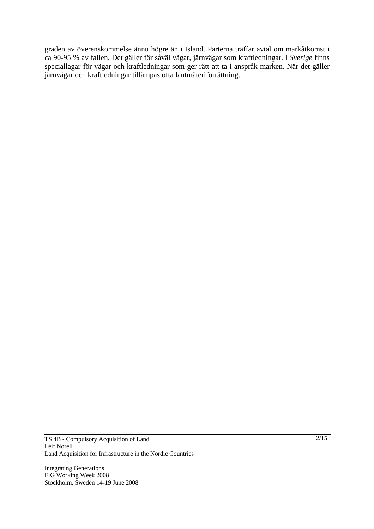graden av överenskommelse ännu högre än i Island. Parterna träffar avtal om markåtkomst i ca 90-95 % av fallen. Det gäller för såväl vägar, järnvägar som kraftledningar. I *Sverige* finns speciallagar för vägar och kraftledningar som ger rätt att ta i anspråk marken. När det gäller järnvägar och kraftledningar tillämpas ofta lantmäteriförrättning.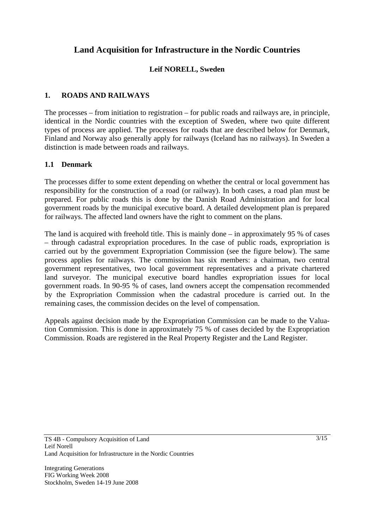# **Land Acquisition for Infrastructure in the Nordic Countries**

# **Leif NORELL, Sweden**

# **1. ROADS AND RAILWAYS**

The processes – from initiation to registration – for public roads and railways are, in principle, identical in the Nordic countries with the exception of Sweden, where two quite different types of process are applied. The processes for roads that are described below for Denmark, Finland and Norway also generally apply for railways (Iceland has no railways). In Sweden a distinction is made between roads and railways.

### **1.1 Denmark**

The processes differ to some extent depending on whether the central or local government has responsibility for the construction of a road (or railway). In both cases, a road plan must be prepared. For public roads this is done by the Danish Road Administration and for local government roads by the municipal executive board. A detailed development plan is prepared for railways. The affected land owners have the right to comment on the plans.

The land is acquired with freehold title. This is mainly done – in approximately 95 % of cases – through cadastral expropriation procedures. In the case of public roads, expropriation is carried out by the government Expropriation Commission (see the figure below). The same process applies for railways. The commission has six members: a chairman, two central government representatives, two local government representatives and a private chartered land surveyor. The municipal executive board handles expropriation issues for local government roads. In 90-95 % of cases, land owners accept the compensation recommended by the Expropriation Commission when the cadastral procedure is carried out. In the remaining cases, the commission decides on the level of compensation.

Appeals against decision made by the Expropriation Commission can be made to the Valuation Commission. This is done in approximately 75 % of cases decided by the Expropriation Commission. Roads are registered in the Real Property Register and the Land Register.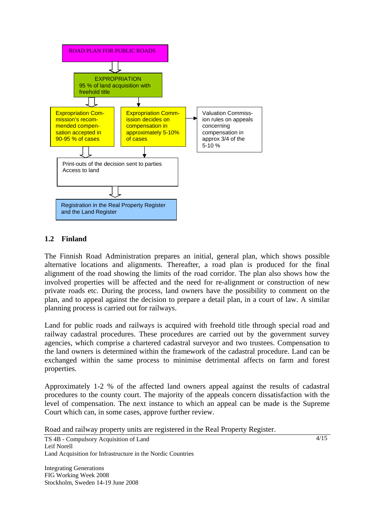

#### **1.2 Finland**

The Finnish Road Administration prepares an initial, general plan, which shows possible alternative locations and alignments. Thereafter, a road plan is produced for the final alignment of the road showing the limits of the road corridor. The plan also shows how the involved properties will be affected and the need for re-alignment or construction of new private roads etc. During the process, land owners have the possibility to comment on the plan, and to appeal against the decision to prepare a detail plan, in a court of law. A similar planning process is carried out for railways.

Land for public roads and railways is acquired with freehold title through special road and railway cadastral procedures. These procedures are carried out by the government survey agencies, which comprise a chartered cadastral surveyor and two trustees. Compensation to the land owners is determined within the framework of the cadastral procedure. Land can be exchanged within the same process to minimise detrimental affects on farm and forest properties.

Approximately 1-2 % of the affected land owners appeal against the results of cadastral procedures to the county court. The majority of the appeals concern dissatisfaction with the level of compensation. The next instance to which an appeal can be made is the Supreme Court which can, in some cases, approve further review.

Road and railway property units are registered in the Real Property Register.

TS 4B - Compulsory Acquisition of Land Leif Norell Land Acquisition for Infrastructure in the Nordic Countries

Integrating Generations FIG Working Week 2008 Stockholm, Sweden 14-19 June 2008  $4/15$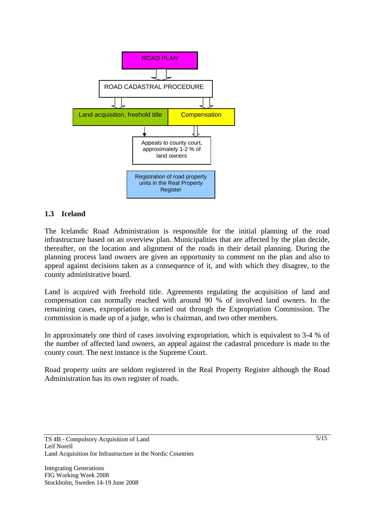

#### **1.3 Iceland**

The Icelandic Road Administration is responsible for the initial planning of the road infrastructure based on an overview plan. Municipalities that are affected by the plan decide, thereafter, on the location and alignment of the roads in their detail planning. During the planning process land owners are given an opportunity to comment on the plan and also to appeal against decisions taken as a consequence of it, and with which they disagree, to the county administrative board.

Land is acquired with freehold title. Agreements regulating the acquisition of land and compensation can normally reached with around 90 % of involved land owners. In the remaining cases, expropriation is carried out through the Expropriation Commission. The commission is made up of a judge, who is chairman, and two other members.

In approximately one third of cases involving expropriation, which is equivalent to 3-4 % of the number of affected land owners, an appeal against the cadastral procedure is made to the county court. The next instance is the Supreme Court.

Road property units are seldom registered in the Real Property Register although the Road Administration has its own register of roads.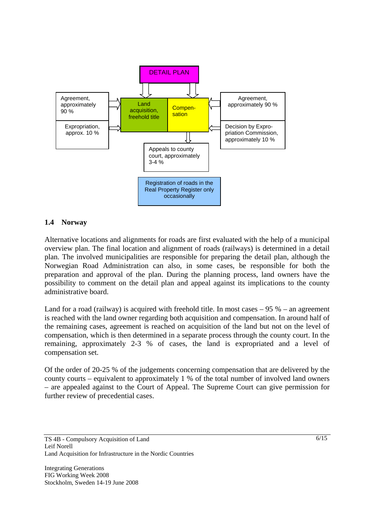

#### **1.4 Norway**

Alternative locations and alignments for roads are first evaluated with the help of a municipal overview plan. The final location and alignment of roads (railways) is determined in a detail plan. The involved municipalities are responsible for preparing the detail plan, although the Norwegian Road Administration can also, in some cases, be responsible for both the preparation and approval of the plan. During the planning process, land owners have the possibility to comment on the detail plan and appeal against its implications to the county administrative board.

Land for a road (railway) is acquired with freehold title. In most cases  $-95\%$  – an agreement is reached with the land owner regarding both acquisition and compensation. In around half of the remaining cases, agreement is reached on acquisition of the land but not on the level of compensation, which is then determined in a separate process through the county court. In the remaining, approximately 2-3 % of cases, the land is expropriated and a level of compensation set.

Of the order of 20-25 % of the judgements concerning compensation that are delivered by the county courts – equivalent to approximately 1 % of the total number of involved land owners – are appealed against to the Court of Appeal. The Supreme Court can give permission for further review of precedential cases.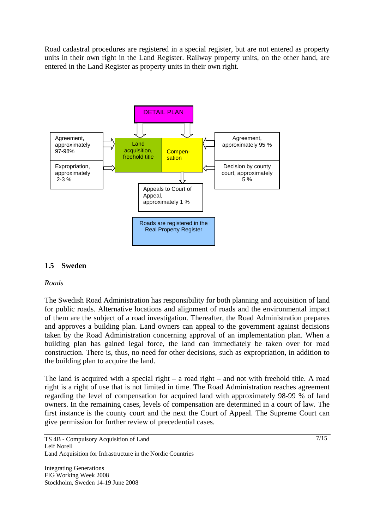Road cadastral procedures are registered in a special register, but are not entered as property units in their own right in the Land Register. Railway property units, on the other hand, are entered in the Land Register as property units in their own right.



# **1.5 Sweden**

#### *Roads*

The Swedish Road Administration has responsibility for both planning and acquisition of land for public roads. Alternative locations and alignment of roads and the environmental impact of them are the subject of a road investigation. Thereafter, the Road Administration prepares and approves a building plan. Land owners can appeal to the government against decisions taken by the Road Administration concerning approval of an implementation plan. When a building plan has gained legal force, the land can immediately be taken over for road construction. There is, thus, no need for other decisions, such as expropriation, in addition to the building plan to acquire the land.

The land is acquired with a special right – a road right – and not with freehold title. A road right is a right of use that is not limited in time. The Road Administration reaches agreement regarding the level of compensation for acquired land with approximately 98-99 % of land owners. In the remaining cases, levels of compensation are determined in a court of law. The first instance is the county court and the next the Court of Appeal. The Supreme Court can give permission for further review of precedential cases.

TS 4B - Compulsory Acquisition of Land Leif Norell Land Acquisition for Infrastructure in the Nordic Countries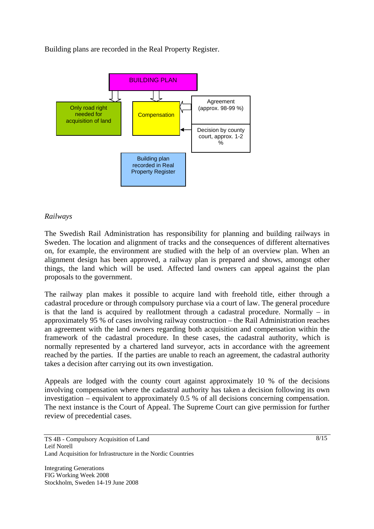Building plans are recorded in the Real Property Register.



#### *Railways*

The Swedish Rail Administration has responsibility for planning and building railways in Sweden. The location and alignment of tracks and the consequences of different alternatives on, for example, the environment are studied with the help of an overview plan. When an alignment design has been approved, a railway plan is prepared and shows, amongst other things, the land which will be used. Affected land owners can appeal against the plan proposals to the government.

The railway plan makes it possible to acquire land with freehold title, either through a cadastral procedure or through compulsory purchase via a court of law. The general procedure is that the land is acquired by reallotment through a cadastral procedure. Normally – in approximately 95 % of cases involving railway construction – the Rail Administration reaches an agreement with the land owners regarding both acquisition and compensation within the framework of the cadastral procedure. In these cases, the cadastral authority, which is normally represented by a chartered land surveyor, acts in accordance with the agreement reached by the parties. If the parties are unable to reach an agreement, the cadastral authority takes a decision after carrying out its own investigation.

Appeals are lodged with the county court against approximately 10 % of the decisions involving compensation where the cadastral authority has taken a decision following its own investigation – equivalent to approximately 0.5 % of all decisions concerning compensation. The next instance is the Court of Appeal. The Supreme Court can give permission for further review of precedential cases.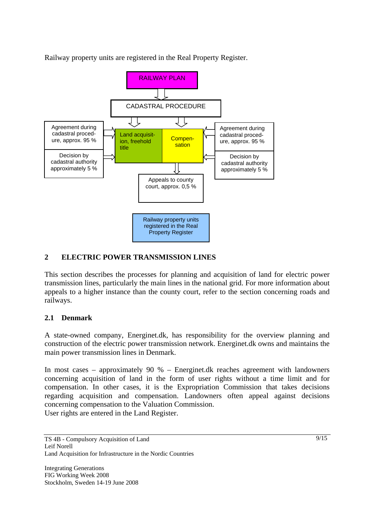Railway property units are registered in the Real Property Register.



# **2 ELECTRIC POWER TRANSMISSION LINES**

This section describes the processes for planning and acquisition of land for electric power transmission lines, particularly the main lines in the national grid. For more information about appeals to a higher instance than the county court, refer to the section concerning roads and railways.

### **2.1 Denmark**

A state-owned company, Energinet.dk, has responsibility for the overview planning and construction of the electric power transmission network. Energinet.dk owns and maintains the main power transmission lines in Denmark.

In most cases – approximately 90 % – Energinet.dk reaches agreement with landowners concerning acquisition of land in the form of user rights without a time limit and for compensation. In other cases, it is the Expropriation Commission that takes decisions regarding acquisition and compensation. Landowners often appeal against decisions concerning compensation to the Valuation Commission. User rights are entered in the Land Register.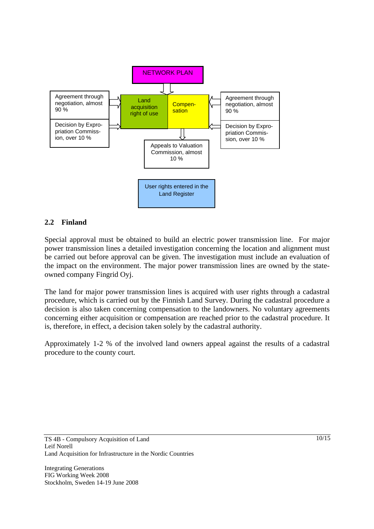

### **2.2 Finland**

Special approval must be obtained to build an electric power transmission line. For major power transmission lines a detailed investigation concerning the location and alignment must be carried out before approval can be given. The investigation must include an evaluation of the impact on the environment. The major power transmission lines are owned by the stateowned company Fingrid Oyj.

The land for major power transmission lines is acquired with user rights through a cadastral procedure, which is carried out by the Finnish Land Survey. During the cadastral procedure a decision is also taken concerning compensation to the landowners. No voluntary agreements concerning either acquisition or compensation are reached prior to the cadastral procedure. It is, therefore, in effect, a decision taken solely by the cadastral authority.

Approximately 1-2 % of the involved land owners appeal against the results of a cadastral procedure to the county court.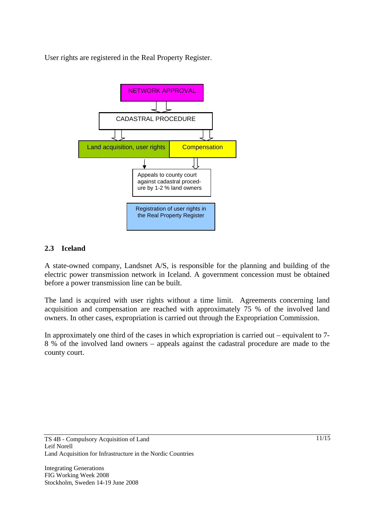User rights are registered in the Real Property Register.



# **2.3 Iceland**

A state-owned company, Landsnet A/S, is responsible for the planning and building of the electric power transmission network in Iceland. A government concession must be obtained before a power transmission line can be built.

The land is acquired with user rights without a time limit. Agreements concerning land acquisition and compensation are reached with approximately 75 % of the involved land owners. In other cases, expropriation is carried out through the Expropriation Commission.

In approximately one third of the cases in which expropriation is carried out – equivalent to 7- 8 % of the involved land owners – appeals against the cadastral procedure are made to the county court.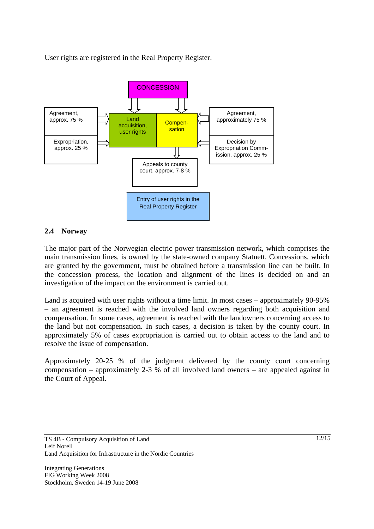User rights are registered in the Real Property Register.



#### **2.4 Norway**

The major part of the Norwegian electric power transmission network, which comprises the main transmission lines, is owned by the state-owned company Statnett. Concessions, which are granted by the government, must be obtained before a transmission line can be built. In the concession process, the location and alignment of the lines is decided on and an investigation of the impact on the environment is carried out.

Land is acquired with user rights without a time limit. In most cases – approximately 90-95% – an agreement is reached with the involved land owners regarding both acquisition and compensation. In some cases, agreement is reached with the landowners concerning access to the land but not compensation. In such cases, a decision is taken by the county court. In approximately 5% of cases expropriation is carried out to obtain access to the land and to resolve the issue of compensation.

Approximately 20-25 % of the judgment delivered by the county court concerning compensation – approximately 2-3 % of all involved land owners – are appealed against in the Court of Appeal.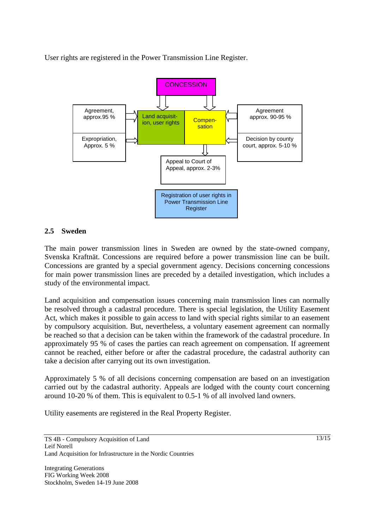User rights are registered in the Power Transmission Line Register.



#### **2.5 Sweden**

The main power transmission lines in Sweden are owned by the state-owned company, Svenska Kraftnät. Concessions are required before a power transmission line can be built. Concessions are granted by a special government agency. Decisions concerning concessions for main power transmission lines are preceded by a detailed investigation, which includes a study of the environmental impact.

Land acquisition and compensation issues concerning main transmission lines can normally be resolved through a cadastral procedure. There is special legislation, the Utility Easement Act, which makes it possible to gain access to land with special rights similar to an easement by compulsory acquisition. But, nevertheless, a voluntary easement agreement can normally be reached so that a decision can be taken within the framework of the cadastral procedure. In approximately 95 % of cases the parties can reach agreement on compensation. If agreement cannot be reached, either before or after the cadastral procedure, the cadastral authority can take a decision after carrying out its own investigation.

Approximately 5 % of all decisions concerning compensation are based on an investigation carried out by the cadastral authority. Appeals are lodged with the county court concerning around 10-20 % of them. This is equivalent to 0.5-1 % of all involved land owners.

Utility easements are registered in the Real Property Register.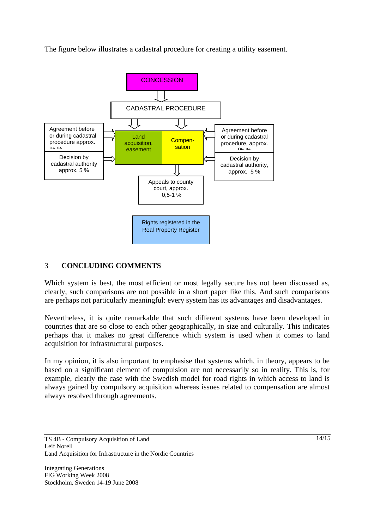The figure below illustrates a cadastral procedure for creating a utility easement.



### 3 **CONCLUDING COMMENTS**

Which system is best, the most efficient or most legally secure has not been discussed as, clearly, such comparisons are not possible in a short paper like this. And such comparisons are perhaps not particularly meaningful: every system has its advantages and disadvantages.

Nevertheless, it is quite remarkable that such different systems have been developed in countries that are so close to each other geographically, in size and culturally. This indicates perhaps that it makes no great difference which system is used when it comes to land acquisition for infrastructural purposes.

In my opinion, it is also important to emphasise that systems which, in theory, appears to be based on a significant element of compulsion are not necessarily so in reality. This is, for example, clearly the case with the Swedish model for road rights in which access to land is always gained by compulsory acquisition whereas issues related to compensation are almost always resolved through agreements.